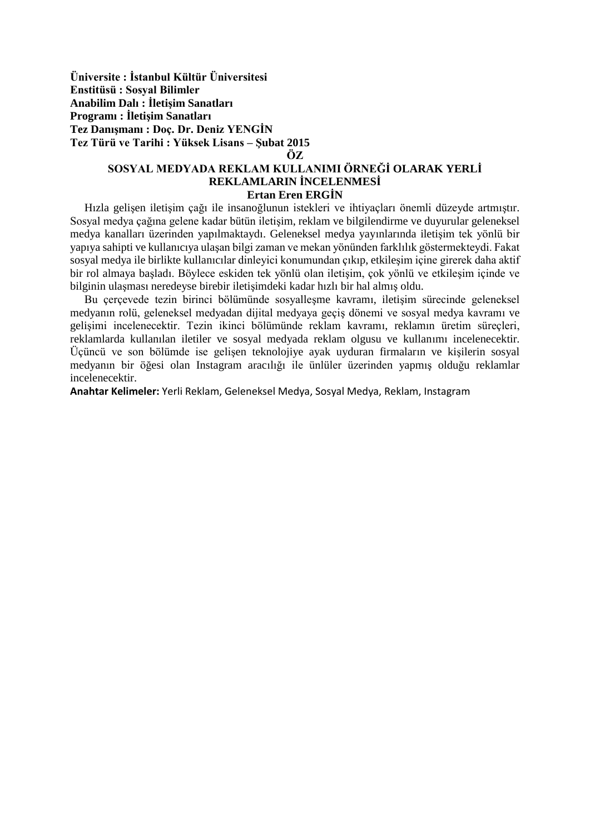**Üniversite : İstanbul Kültür Üniversitesi Enstitüsü : Sosyal Bilimler Anabilim Dalı : İletişim Sanatları Programı : İletişim Sanatları Tez Danışmanı : Doç. Dr. Deniz YENGİN Tez Türü ve Tarihi : Yüksek Lisans – Şubat 2015** 

## **ÖZ**

## **SOSYAL MEDYADA REKLAM KULLANIMI ÖRNEĞİ OLARAK YERLİ REKLAMLARIN İNCELENMESİ Ertan Eren ERGİN**

 Hızla gelişen iletişim çağı ile insanoğlunun istekleri ve ihtiyaçları önemli düzeyde artmıştır. Sosyal medya çağına gelene kadar bütün iletişim, reklam ve bilgilendirme ve duyurular geleneksel medya kanalları üzerinden yapılmaktaydı. Geleneksel medya yayınlarında iletişim tek yönlü bir yapıya sahipti ve kullanıcıya ulaşan bilgi zaman ve mekan yönünden farklılık göstermekteydi. Fakat sosyal medya ile birlikte kullanıcılar dinleyici konumundan çıkıp, etkileşim içine girerek daha aktif bir rol almaya başladı. Böylece eskiden tek yönlü olan iletişim, çok yönlü ve etkileşim içinde ve bilginin ulaşması neredeyse birebir iletişimdeki kadar hızlı bir hal almış oldu.

 Bu çerçevede tezin birinci bölümünde sosyalleşme kavramı, iletişim sürecinde geleneksel medyanın rolü, geleneksel medyadan dijital medyaya geçiş dönemi ve sosyal medya kavramı ve gelişimi incelenecektir. Tezin ikinci bölümünde reklam kavramı, reklamın üretim süreçleri, reklamlarda kullanılan iletiler ve sosyal medyada reklam olgusu ve kullanımı incelenecektir. Üçüncü ve son bölümde ise gelişen teknolojiye ayak uyduran firmaların ve kişilerin sosyal medyanın bir öğesi olan Instagram aracılığı ile ünlüler üzerinden yapmış olduğu reklamlar incelenecektir.

**Anahtar Kelimeler:** Yerli Reklam, Geleneksel Medya, Sosyal Medya, Reklam, Instagram